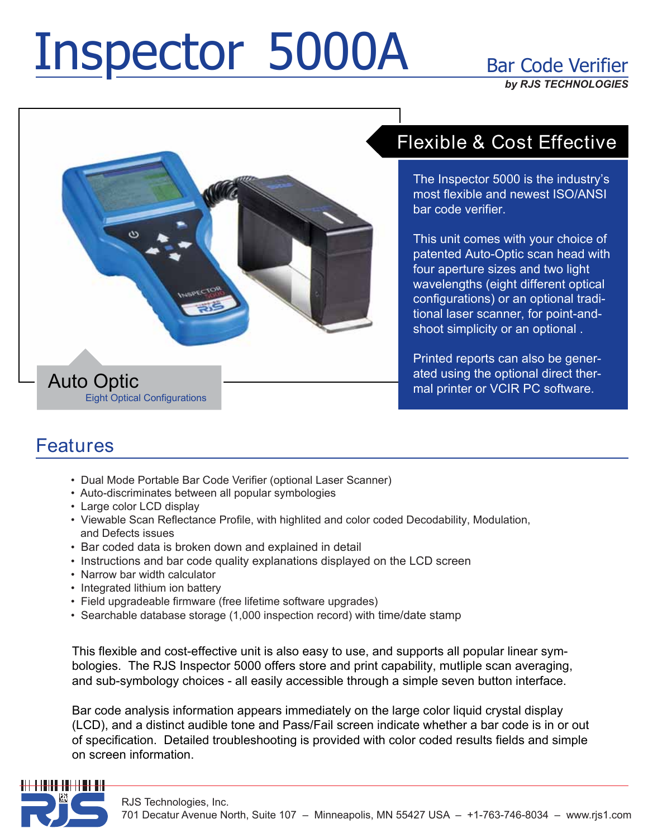# Inspector 5000A Bar Code Verifier

*by RJS TECHNOLOGIES*



## Flexible & Cost Effective

The Inspector 5000 is the industry's most flexible and newest ISO/ANSI bar code verifier.

This unit comes with your choice of patented Auto-Optic scan head with four aperture sizes and two light wavelengths (eight different optical configurations) or an optional traditional laser scanner, for point-andshoot simplicity or an optional .

Printed reports can also be generated using the optional direct thermal printer or VCIR PC software.

### **Features**

- Dual Mode Portable Bar Code Verifier (optional Laser Scanner)
- Auto-discriminates between all popular symbologies
- Large color LCD display
- Viewable Scan Reflectance Profile, with highlited and color coded Decodability, Modulation, and Defects issues
- Bar coded data is broken down and explained in detail
- Instructions and bar code quality explanations displayed on the LCD screen
- Narrow bar width calculator
- Integrated lithium ion battery
- Field upgradeable firmware (free lifetime software upgrades)
- Searchable database storage (1,000 inspection record) with time/date stamp

This flexible and cost-effective unit is also easy to use, and supports all popular linear symbologies. The RJS Inspector 5000 offers store and print capability, mutliple scan averaging, and sub-symbology choices - all easily accessible through a simple seven button interface.

Bar code analysis information appears immediately on the large color liquid crystal display (LCD), and a distinct audible tone and Pass/Fail screen indicate whether a bar code is in or out of specification. Detailed troubleshooting is provided with color coded results fields and simple on screen information.